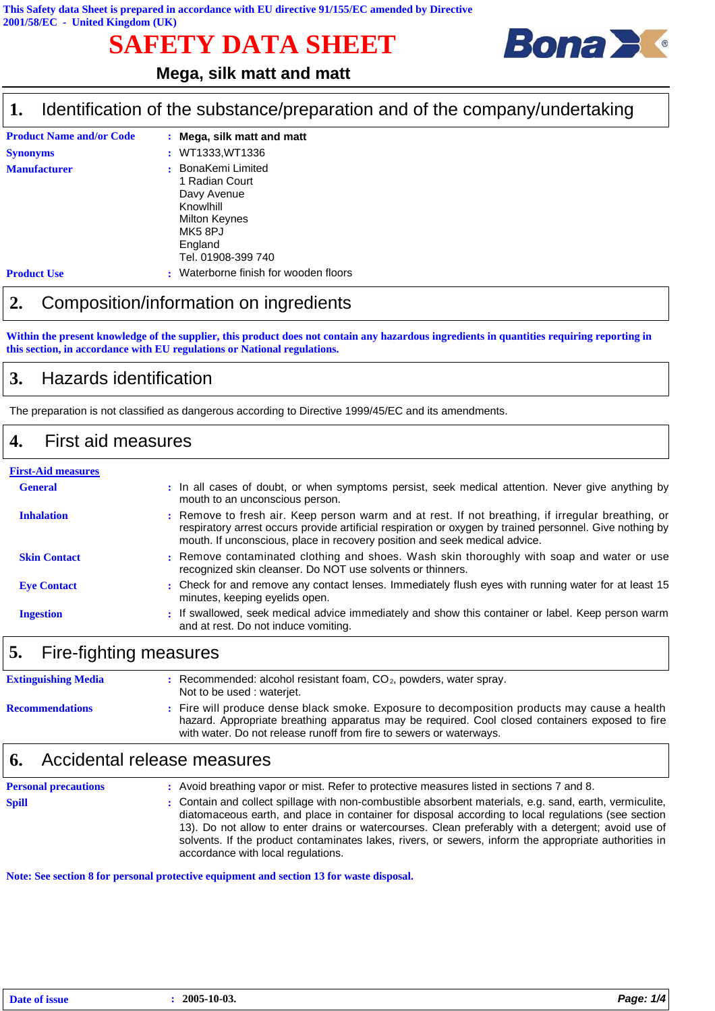# **SAFETY DATA SHEET**



## **Mega, silk matt and matt**

#### Identification of the substance/preparation and of the company/undertaking **1.**

| <b>Product Name and/or Code</b> | : Mega, silk matt and matt          |
|---------------------------------|-------------------------------------|
| <b>Synonyms</b>                 | : WT1333, WT1336                    |
| <b>Manufacturer</b>             | : BonaKemi Limited                  |
|                                 | 1 Radian Court                      |
|                                 | Davy Avenue                         |
|                                 | Knowlhill                           |
|                                 | <b>Milton Keynes</b>                |
|                                 | MK58PJ                              |
|                                 | England                             |
|                                 | Tel. 01908-399 740                  |
| <b>Product Use</b>              | Waterborne finish for wooden floors |

### **2.** Composition/information on ingredients

**Within the present knowledge of the supplier, this product does not contain any hazardous ingredients in quantities requiring reporting in this section, in accordance with EU regulations or National regulations.**

### **3.** Hazards identification

The preparation is not classified as dangerous according to Directive 1999/45/EC and its amendments.

#### **4.** First aid measures

# **First-Aid measures**

| <b>General</b>      | : In all cases of doubt, or when symptoms persist, seek medical attention. Never give anything by<br>mouth to an unconscious person.                                                                                                                                                        |
|---------------------|---------------------------------------------------------------------------------------------------------------------------------------------------------------------------------------------------------------------------------------------------------------------------------------------|
| <b>Inhalation</b>   | : Remove to fresh air. Keep person warm and at rest. If not breathing, if irregular breathing, or<br>respiratory arrest occurs provide artificial respiration or oxygen by trained personnel. Give nothing by<br>mouth. If unconscious, place in recovery position and seek medical advice. |
| <b>Skin Contact</b> | : Remove contaminated clothing and shoes. Wash skin thoroughly with soap and water or use<br>recognized skin cleanser. Do NOT use solvents or thinners.                                                                                                                                     |
| <b>Eve Contact</b>  | : Check for and remove any contact lenses. Immediately flush eyes with running water for at least 15<br>minutes, keeping eyelids open.                                                                                                                                                      |
| <b>Ingestion</b>    | : If swallowed, seek medical advice immediately and show this container or label. Keep person warm<br>and at rest. Do not induce vomiting.                                                                                                                                                  |

# **5.** Fire-fighting measures

| <b>Extinguishing Media</b> | Recommended: alcohol resistant foam, $CO2$ , powders, water spray.<br>Not to be used : waterjet.                                                                                                                                                                     |
|----------------------------|----------------------------------------------------------------------------------------------------------------------------------------------------------------------------------------------------------------------------------------------------------------------|
| <b>Recommendations</b>     | Fire will produce dense black smoke. Exposure to decomposition products may cause a health<br>hazard. Appropriate breathing apparatus may be required. Cool closed containers exposed to fire<br>with water. Do not release runoff from fire to sewers or waterways. |

#### **6.** Accidental release measures

| <b>Personal precautions</b> | : Avoid breathing vapor or mist. Refer to protective measures listed in sections 7 and 8.                                                                                                                                                                                                                                                                                                                                                                           |
|-----------------------------|---------------------------------------------------------------------------------------------------------------------------------------------------------------------------------------------------------------------------------------------------------------------------------------------------------------------------------------------------------------------------------------------------------------------------------------------------------------------|
| <b>Spill</b>                | : Contain and collect spillage with non-combustible absorbent materials, e.g. sand, earth, vermiculite,<br>diatomaceous earth, and place in container for disposal according to local regulations (see section<br>13). Do not allow to enter drains or watercourses. Clean preferably with a detergent; avoid use of<br>solvents. If the product contaminates lakes, rivers, or sewers, inform the appropriate authorities in<br>accordance with local regulations. |

**Note: See section 8 for personal protective equipment and section 13 for waste disposal.**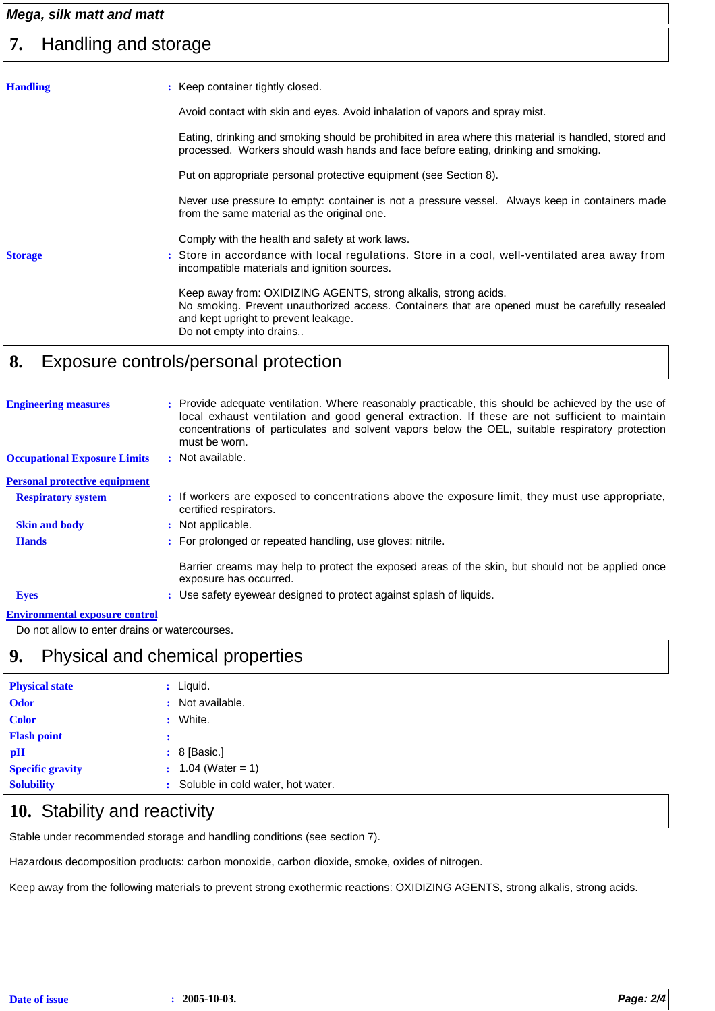#### *Mega, silk matt and matt*

#### Handling and storage **7.**

| <b>Handling</b> | : Keep container tightly closed.                                                                                                                                                                                                      |
|-----------------|---------------------------------------------------------------------------------------------------------------------------------------------------------------------------------------------------------------------------------------|
|                 | Avoid contact with skin and eyes. Avoid inhalation of vapors and spray mist.                                                                                                                                                          |
|                 | Eating, drinking and smoking should be prohibited in area where this material is handled, stored and<br>processed. Workers should wash hands and face before eating, drinking and smoking.                                            |
|                 | Put on appropriate personal protective equipment (see Section 8).                                                                                                                                                                     |
|                 | Never use pressure to empty: container is not a pressure vessel. Always keep in containers made<br>from the same material as the original one.                                                                                        |
|                 | Comply with the health and safety at work laws.                                                                                                                                                                                       |
| <b>Storage</b>  | : Store in accordance with local regulations. Store in a cool, well-ventilated area away from<br>incompatible materials and ignition sources.                                                                                         |
|                 | Keep away from: OXIDIZING AGENTS, strong alkalis, strong acids.<br>No smoking. Prevent unauthorized access. Containers that are opened must be carefully resealed<br>and kept upright to prevent leakage.<br>Do not empty into drains |
|                 |                                                                                                                                                                                                                                       |

# **8.** Exposure controls/personal protection

| <b>Engineering measures</b>                      | : Provide adequate ventilation. Where reasonably practicable, this should be achieved by the use of<br>local exhaust ventilation and good general extraction. If these are not sufficient to maintain<br>concentrations of particulates and solvent vapors below the OEL, suitable respiratory protection<br>must be worn. |
|--------------------------------------------------|----------------------------------------------------------------------------------------------------------------------------------------------------------------------------------------------------------------------------------------------------------------------------------------------------------------------------|
| <b>Occupational Exposure Limits</b>              | : Not available.                                                                                                                                                                                                                                                                                                           |
| <b>Personal protective equipment</b>             |                                                                                                                                                                                                                                                                                                                            |
| <b>Respiratory system</b>                        | : If workers are exposed to concentrations above the exposure limit, they must use appropriate,<br>certified respirators.                                                                                                                                                                                                  |
| <b>Skin and body</b>                             | : Not applicable.                                                                                                                                                                                                                                                                                                          |
| <b>Hands</b>                                     | : For prolonged or repeated handling, use gloves: nitrile.                                                                                                                                                                                                                                                                 |
|                                                  | Barrier creams may help to protect the exposed areas of the skin, but should not be applied once<br>exposure has occurred.                                                                                                                                                                                                 |
| <b>Eyes</b>                                      | : Use safety eyewear designed to protect against splash of liquids.                                                                                                                                                                                                                                                        |
| The class case and all acres assessed a such and |                                                                                                                                                                                                                                                                                                                            |

#### **Environmental exposure control**

Do not allow to enter drains or watercourses.

## **9.** Physical and chemical properties

| <b>Physical state</b>   |           | $:$ Liquid.                         |
|-------------------------|-----------|-------------------------------------|
| <b>Odor</b>             |           | : Not available.                    |
| <b>Color</b>            | $\bullet$ | White.                              |
| <b>Flash point</b>      | :         |                                     |
| рH                      |           | $: 8$ [Basic.]                      |
| <b>Specific gravity</b> |           | $: 1.04$ (Water = 1)                |
| <b>Solubility</b>       |           | : Soluble in cold water, hot water. |

# 10. Stability and reactivity

Stable under recommended storage and handling conditions (see section 7).

Hazardous decomposition products: carbon monoxide, carbon dioxide, smoke, oxides of nitrogen.

Keep away from the following materials to prevent strong exothermic reactions: OXIDIZING AGENTS, strong alkalis, strong acids.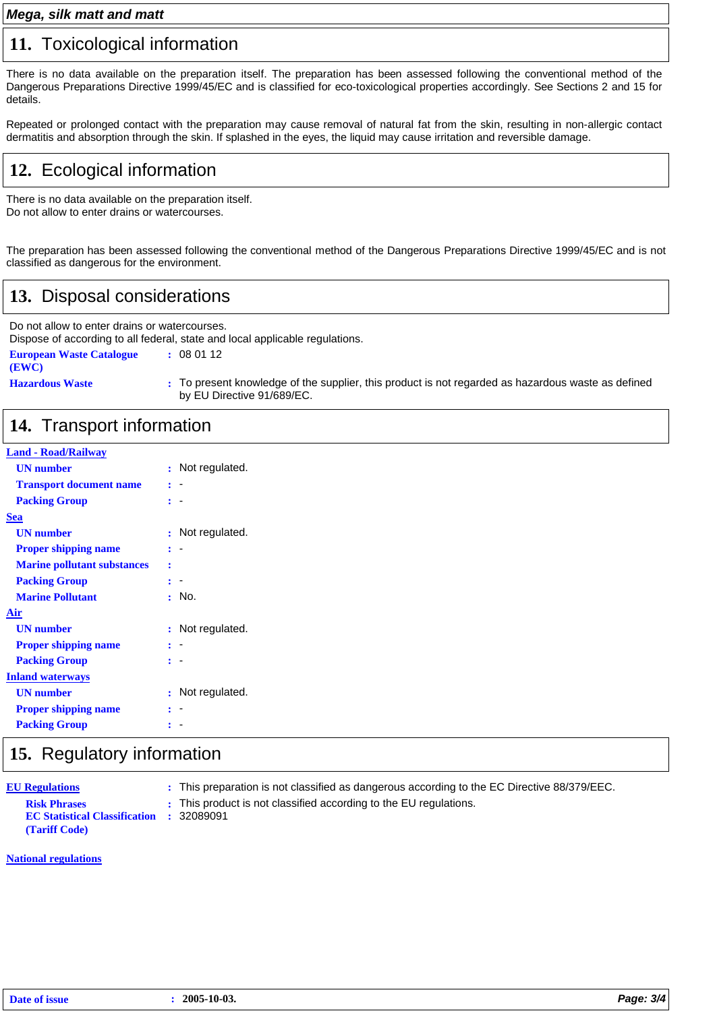#### *Mega, silk matt and matt*

#### **11.** Toxicological information

There is no data available on the preparation itself. The preparation has been assessed following the conventional method of the Dangerous Preparations Directive 1999/45/EC and is classified for eco-toxicological properties accordingly. See Sections 2 and 15 for details.

Repeated or prolonged contact with the preparation may cause removal of natural fat from the skin, resulting in non-allergic contact dermatitis and absorption through the skin. If splashed in the eyes, the liquid may cause irritation and reversible damage.

# **12.** Ecological information

There is no data available on the preparation itself. Do not allow to enter drains or watercourses.

The preparation has been assessed following the conventional method of the Dangerous Preparations Directive 1999/45/EC and is not classified as dangerous for the environment.

# **13.** Disposal considerations

Do not allow to enter drains or watercourses. Dispose of according to all federal, state and local applicable regulations. **European Waste Catalogue :** 08 01 12 **(EWC)**

**Hazardous Waste :** To present knowledge of the supplier, this product is not regarded as hazardous waste as defined by EU Directive 91/689/EC.

## **14.** Transport information

#### **Land - Road/Railway**

| <b>UN</b> number                   |                | : Not regulated. |
|------------------------------------|----------------|------------------|
| <b>Transport document name</b>     | ÷              |                  |
| <b>Packing Group</b>               |                |                  |
| Sea                                |                |                  |
| <b>UN</b> number                   | ř              | Not regulated.   |
| <b>Proper shipping name</b>        | ÷              |                  |
| <b>Marine pollutant substances</b> | ÷              |                  |
| <b>Packing Group</b>               | ÷              |                  |
| <b>Marine Pollutant</b>            | ٠              | No.              |
| Air                                |                |                  |
| <b>UN</b> number                   | ÷              | Not regulated.   |
| <b>Proper shipping name</b>        |                |                  |
| <b>Packing Group</b>               |                |                  |
| <b>Inland waterways</b>            |                |                  |
| <b>UN</b> number                   | $\ddot{\cdot}$ | Not regulated.   |
| <b>Proper shipping name</b>        |                |                  |
| <b>Packing Group</b>               |                |                  |
|                                    |                |                  |

#### **15.** Regulatory information

**EU Regulations EC Statistical Classification (Tariff Code)**

**:** This preparation is not classified as dangerous according to the EC Directive 88/379/EEC.

**Risk Phrases This product is not classified according to the EU regulations. :**

#### **National regulations**